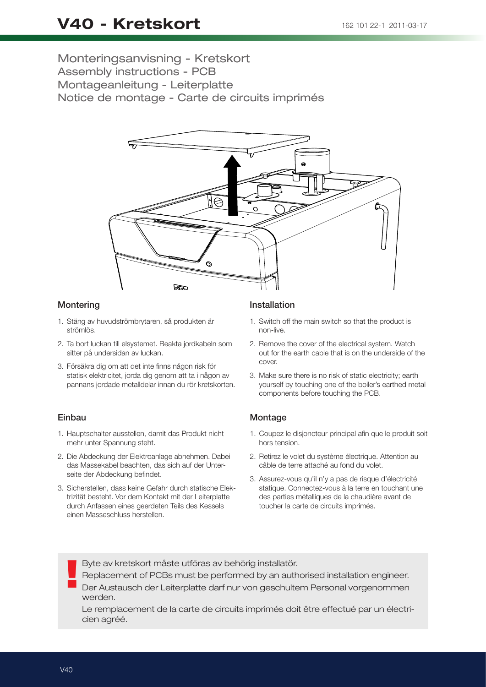# Monteringsanvisning - Kretskort Assembly instructions - PCB Montageanleitung - Leiterplatte Notice de montage - Carte de circuits imprimés



### **Montering**

- 1. Stäng av huvudströmbrytaren, så produkten är strömlös.
- 2. Ta bort luckan till elsystemet. Beakta jordkabeln som sitter på undersidan av luckan.
- 3. Försäkra dig om att det inte finns någon risk för statisk elektricitet, jorda dig genom att ta i någon av pannans jordade metalldelar innan du rör kretskorten.

### Einbau

- 1. Hauptschalter ausstellen, damit das Produkt nicht mehr unter Spannung steht.
- 2. Die Abdeckung der Elektroanlage abnehmen. Dabei das Massekabel beachten, das sich auf der Unterseite der Abdeckung befindet.
- 3. Sicherstellen, dass keine Gefahr durch statische Elektrizität besteht. Vor dem Kontakt mit der Leiterplatte durch Anfassen eines geerdeten Teils des Kessels einen Masseschluss herstellen.

## Installation

- 1. Switch off the main switch so that the product is non-live.
- 2. Remove the cover of the electrical system. Watch out for the earth cable that is on the underside of the cover.
- 3. Make sure there is no risk of static electricity; earth yourself by touching one of the boiler's earthed metal components before touching the PCB.

### **Montage**

- 1. Coupez le disjoncteur principal afin que le produit soit hors tension.
- 2. Retirez le volet du système électrique. Attention au câble de terre attaché au fond du volet.
- 3. Assurez-vous qu'il n'y a pas de risque d'électricité statique. Connectez-vous à la terre en touchant une des parties métalliques de la chaudière avant de toucher la carte de circuits imprimés.

Byte av kretskort måste utföras av behörig installatör.

! Replacement of PCBs must be performed by an authorised installation engineer.

Der Austausch der Leiterplatte darf nur von geschultem Personal vorgenommen werden.

Le remplacement de la carte de circuits imprimés doit être effectué par un électricien agréé.